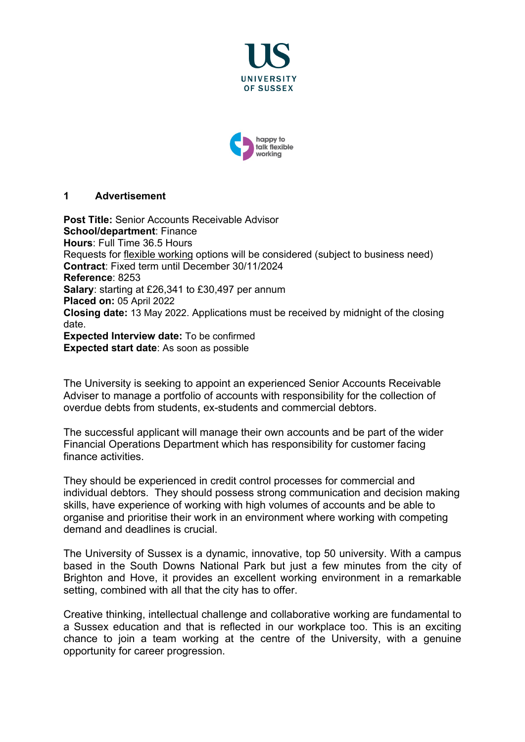



#### **1 Advertisement**

**Post Title:** Senior Accounts Receivable Advisor **School/department**: Finance **Hours**: Full Time 36.5 Hours Requests for [flexible working](http://www.sussex.ac.uk/humanresources/personnel/flexible-working) options will be considered (subject to business need) **Contract**: Fixed term until December 30/11/2024 **Reference**: 8253 **Salary**: starting at £26,341 to £30,497 per annum **Placed on:** 05 April 2022 **Closing date:** 13 May 2022. Applications must be received by midnight of the closing date. **Expected Interview date:** To be confirmed **Expected start date**: As soon as possible

The University is seeking to appoint an experienced Senior Accounts Receivable Adviser to manage a portfolio of accounts with responsibility for the collection of overdue debts from students, ex-students and commercial debtors.

The successful applicant will manage their own accounts and be part of the wider Financial Operations Department which has responsibility for customer facing finance activities.

They should be experienced in credit control processes for commercial and individual debtors. They should possess strong communication and decision making skills, have experience of working with high volumes of accounts and be able to organise and prioritise their work in an environment where working with competing demand and deadlines is crucial.

The University of Sussex is a dynamic, innovative, top 50 university. With a campus based in the South Downs National Park but just a few minutes from the city of Brighton and Hove, it provides an excellent working environment in a remarkable setting, combined with all that the city has to offer.

Creative thinking, intellectual challenge and collaborative working are fundamental to a Sussex education and that is reflected in our workplace too. This is an exciting chance to join a team working at the centre of the University, with a genuine opportunity for career progression.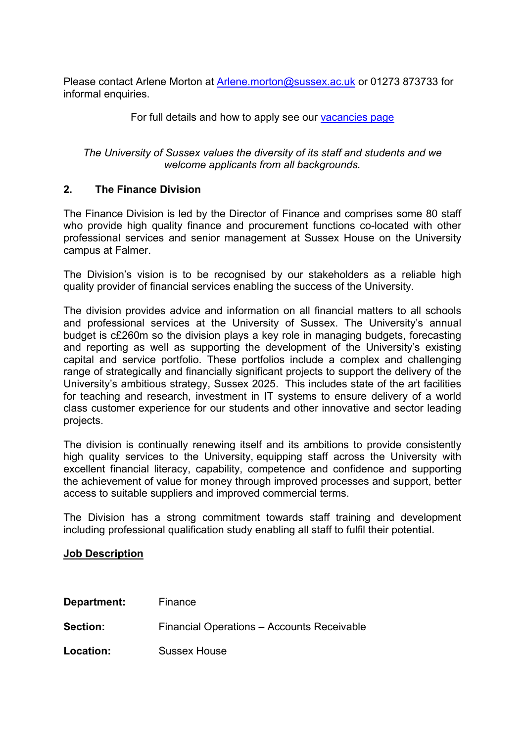Please contact Arlene Morton at [Arlene.morton@sussex.ac.uk](mailto:Arlene.morton@sussex.ac.uk) or 01273 873733 for informal enquiries.

For full details and how to apply see our [vacancies page](https://www.sussex.ac.uk/about/jobs)

*The University of Sussex values the diversity of its staff and students and we welcome applicants from all backgrounds.*

## **2. The Finance Division**

The Finance Division is led by the Director of Finance and comprises some 80 staff who provide high quality finance and procurement functions co-located with other professional services and senior management at Sussex House on the University campus at Falmer.

The Division's vision is to be recognised by our stakeholders as a reliable high quality provider of financial services enabling the success of the University.

The division provides advice and information on all financial matters to all schools and professional services at the University of Sussex. The University's annual budget is c£260m so the division plays a key role in managing budgets, forecasting and reporting as well as supporting the development of the University's existing capital and service portfolio. These portfolios include a complex and challenging range of strategically and financially significant projects to support the delivery of the University's ambitious strategy, Sussex 2025. This includes state of the art facilities for teaching and research, investment in IT systems to ensure delivery of a world class customer experience for our students and other innovative and sector leading projects.

The division is continually renewing itself and its ambitions to provide consistently high quality services to the University, equipping staff across the University with excellent financial literacy, capability, competence and confidence and supporting the achievement of value for money through improved processes and support, better access to suitable suppliers and improved commercial terms.

The Division has a strong commitment towards staff training and development including professional qualification study enabling all staff to fulfil their potential.

### **Job Description**

| Department: | Finance                                    |
|-------------|--------------------------------------------|
| Section:    | Financial Operations - Accounts Receivable |
| Location:   | <b>Sussex House</b>                        |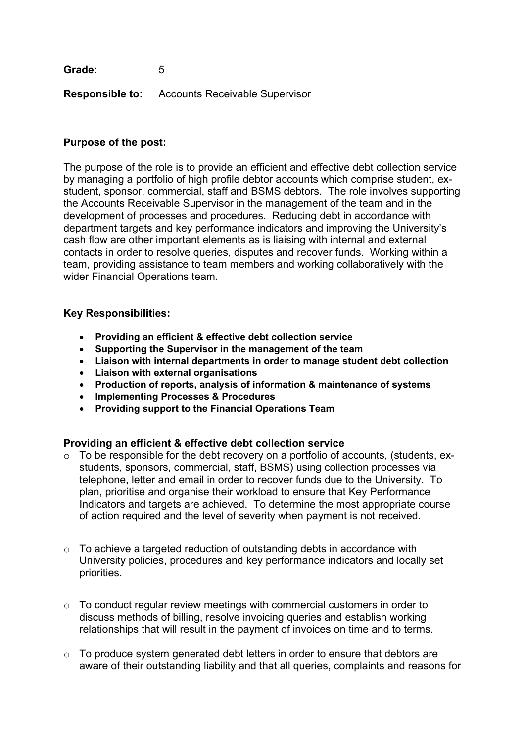**Grade:** 5

**Responsible to:** Accounts Receivable Supervisor

## **Purpose of the post:**

The purpose of the role is to provide an efficient and effective debt collection service by managing a portfolio of high profile debtor accounts which comprise student, exstudent, sponsor, commercial, staff and BSMS debtors. The role involves supporting the Accounts Receivable Supervisor in the management of the team and in the development of processes and procedures. Reducing debt in accordance with department targets and key performance indicators and improving the University's cash flow are other important elements as is liaising with internal and external contacts in order to resolve queries, disputes and recover funds. Working within a team, providing assistance to team members and working collaboratively with the wider Financial Operations team.

### **Key Responsibilities:**

- **Providing an efficient & effective debt collection service**
- **Supporting the Supervisor in the management of the team**
- **Liaison with internal departments in order to manage student debt collection**
- **Liaison with external organisations**
- **Production of reports, analysis of information & maintenance of systems**
- **Implementing Processes & Procedures**
- **Providing support to the Financial Operations Team**

### **Providing an efficient & effective debt collection service**

- $\circ$  To be responsible for the debt recovery on a portfolio of accounts, (students, exstudents, sponsors, commercial, staff, BSMS) using collection processes via telephone, letter and email in order to recover funds due to the University. To plan, prioritise and organise their workload to ensure that Key Performance Indicators and targets are achieved. To determine the most appropriate course of action required and the level of severity when payment is not received.
- $\circ$  To achieve a targeted reduction of outstanding debts in accordance with University policies, procedures and key performance indicators and locally set priorities.
- o To conduct regular review meetings with commercial customers in order to discuss methods of billing, resolve invoicing queries and establish working relationships that will result in the payment of invoices on time and to terms.
- $\circ$  To produce system generated debt letters in order to ensure that debtors are aware of their outstanding liability and that all queries, complaints and reasons for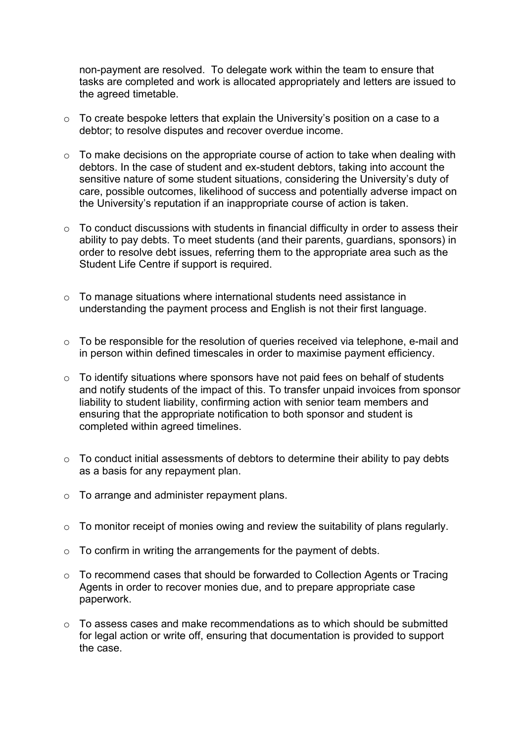non-payment are resolved. To delegate work within the team to ensure that tasks are completed and work is allocated appropriately and letters are issued to the agreed timetable.

- $\circ$  To create bespoke letters that explain the University's position on a case to a debtor; to resolve disputes and recover overdue income.
- $\circ$  To make decisions on the appropriate course of action to take when dealing with debtors. In the case of student and ex-student debtors, taking into account the sensitive nature of some student situations, considering the University's duty of care, possible outcomes, likelihood of success and potentially adverse impact on the University's reputation if an inappropriate course of action is taken.
- o To conduct discussions with students in financial difficulty in order to assess their ability to pay debts. To meet students (and their parents, guardians, sponsors) in order to resolve debt issues, referring them to the appropriate area such as the Student Life Centre if support is required.
- o To manage situations where international students need assistance in understanding the payment process and English is not their first language.
- $\circ$  To be responsible for the resolution of queries received via telephone, e-mail and in person within defined timescales in order to maximise payment efficiency.
- $\circ$  To identify situations where sponsors have not paid fees on behalf of students and notify students of the impact of this. To transfer unpaid invoices from sponsor liability to student liability, confirming action with senior team members and ensuring that the appropriate notification to both sponsor and student is completed within agreed timelines.
- o To conduct initial assessments of debtors to determine their ability to pay debts as a basis for any repayment plan.
- o To arrange and administer repayment plans.
- o To monitor receipt of monies owing and review the suitability of plans regularly.
- o To confirm in writing the arrangements for the payment of debts.
- o To recommend cases that should be forwarded to Collection Agents or Tracing Agents in order to recover monies due, and to prepare appropriate case paperwork.
- $\circ$  To assess cases and make recommendations as to which should be submitted for legal action or write off, ensuring that documentation is provided to support the case.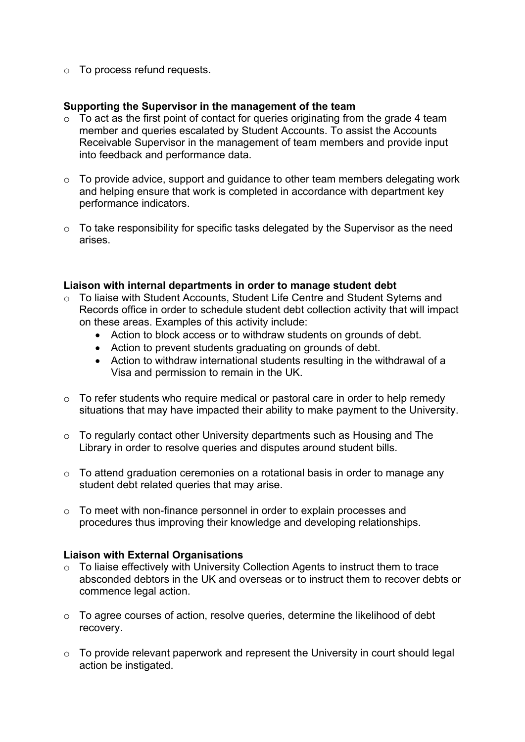o To process refund requests.

## **Supporting the Supervisor in the management of the team**

- $\circ$  To act as the first point of contact for queries originating from the grade 4 team member and queries escalated by Student Accounts. To assist the Accounts Receivable Supervisor in the management of team members and provide input into feedback and performance data.
- $\circ$  To provide advice, support and guidance to other team members delegating work and helping ensure that work is completed in accordance with department key performance indicators.
- o To take responsibility for specific tasks delegated by the Supervisor as the need arises.

### **Liaison with internal departments in order to manage student debt**

- o To liaise with Student Accounts, Student Life Centre and Student Sytems and Records office in order to schedule student debt collection activity that will impact on these areas. Examples of this activity include:
	- Action to block access or to withdraw students on grounds of debt.
	- Action to prevent students graduating on grounds of debt.
	- Action to withdraw international students resulting in the withdrawal of a Visa and permission to remain in the UK.
- $\circ$  To refer students who require medical or pastoral care in order to help remedy situations that may have impacted their ability to make payment to the University.
- o To regularly contact other University departments such as Housing and The Library in order to resolve queries and disputes around student bills.
- o To attend graduation ceremonies on a rotational basis in order to manage any student debt related queries that may arise.
- o To meet with non-finance personnel in order to explain processes and procedures thus improving their knowledge and developing relationships.

### **Liaison with External Organisations**

- o To liaise effectively with University Collection Agents to instruct them to trace absconded debtors in the UK and overseas or to instruct them to recover debts or commence legal action.
- o To agree courses of action, resolve queries, determine the likelihood of debt recovery.
- o To provide relevant paperwork and represent the University in court should legal action be instigated.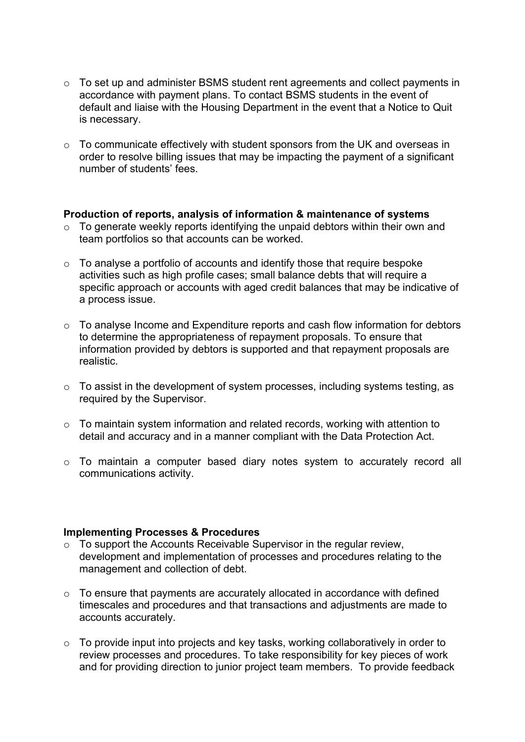- o To set up and administer BSMS student rent agreements and collect payments in accordance with payment plans. To contact BSMS students in the event of default and liaise with the Housing Department in the event that a Notice to Quit is necessary.
- o To communicate effectively with student sponsors from the UK and overseas in order to resolve billing issues that may be impacting the payment of a significant number of students' fees.

### **Production of reports, analysis of information & maintenance of systems**

- o To generate weekly reports identifying the unpaid debtors within their own and team portfolios so that accounts can be worked.
- $\circ$  To analyse a portfolio of accounts and identify those that require bespoke activities such as high profile cases; small balance debts that will require a specific approach or accounts with aged credit balances that may be indicative of a process issue.
- o To analyse Income and Expenditure reports and cash flow information for debtors to determine the appropriateness of repayment proposals. To ensure that information provided by debtors is supported and that repayment proposals are realistic.
- $\circ$  To assist in the development of system processes, including systems testing, as required by the Supervisor.
- o To maintain system information and related records, working with attention to detail and accuracy and in a manner compliant with the Data Protection Act.
- o To maintain a computer based diary notes system to accurately record all communications activity.

#### **Implementing Processes & Procedures**

- $\circ$  To support the Accounts Receivable Supervisor in the regular review, development and implementation of processes and procedures relating to the management and collection of debt.
- o To ensure that payments are accurately allocated in accordance with defined timescales and procedures and that transactions and adjustments are made to accounts accurately.
- o To provide input into projects and key tasks, working collaboratively in order to review processes and procedures. To take responsibility for key pieces of work and for providing direction to junior project team members. To provide feedback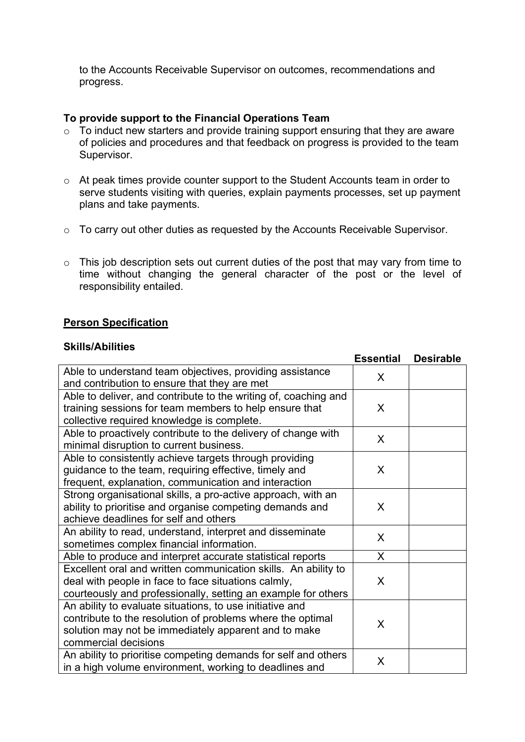to the Accounts Receivable Supervisor on outcomes, recommendations and progress.

## **To provide support to the Financial Operations Team**

- $\circ$  To induct new starters and provide training support ensuring that they are aware of policies and procedures and that feedback on progress is provided to the team Supervisor.
- o At peak times provide counter support to the Student Accounts team in order to serve students visiting with queries, explain payments processes, set up payment plans and take payments.
- o To carry out other duties as requested by the Accounts Receivable Supervisor.
- $\circ$  This job description sets out current duties of the post that may vary from time to time without changing the general character of the post or the level of responsibility entailed.

### **Person Specification**

## **Skills/Abilities**

|                                                                                                          | <b>Essential</b> | <b>Desirable</b> |
|----------------------------------------------------------------------------------------------------------|------------------|------------------|
| Able to understand team objectives, providing assistance<br>and contribution to ensure that they are met | X                |                  |
| Able to deliver, and contribute to the writing of, coaching and                                          |                  |                  |
| training sessions for team members to help ensure that                                                   | X                |                  |
| collective required knowledge is complete.                                                               |                  |                  |
| Able to proactively contribute to the delivery of change with                                            | $\mathsf{X}$     |                  |
| minimal disruption to current business.                                                                  |                  |                  |
| Able to consistently achieve targets through providing                                                   |                  |                  |
| guidance to the team, requiring effective, timely and                                                    | X                |                  |
| frequent, explanation, communication and interaction                                                     |                  |                  |
| Strong organisational skills, a pro-active approach, with an                                             |                  |                  |
| ability to prioritise and organise competing demands and                                                 | $\mathsf{X}$     |                  |
| achieve deadlines for self and others                                                                    |                  |                  |
| An ability to read, understand, interpret and disseminate                                                | X                |                  |
| sometimes complex financial information.                                                                 |                  |                  |
| Able to produce and interpret accurate statistical reports                                               | $\mathsf{X}$     |                  |
| Excellent oral and written communication skills. An ability to                                           |                  |                  |
| deal with people in face to face situations calmly,                                                      | X                |                  |
| courteously and professionally, setting an example for others                                            |                  |                  |
| An ability to evaluate situations, to use initiative and                                                 |                  |                  |
| contribute to the resolution of problems where the optimal                                               | X                |                  |
| solution may not be immediately apparent and to make                                                     |                  |                  |
| commercial decisions                                                                                     |                  |                  |
| An ability to prioritise competing demands for self and others                                           | X                |                  |
| in a high volume environment, working to deadlines and                                                   |                  |                  |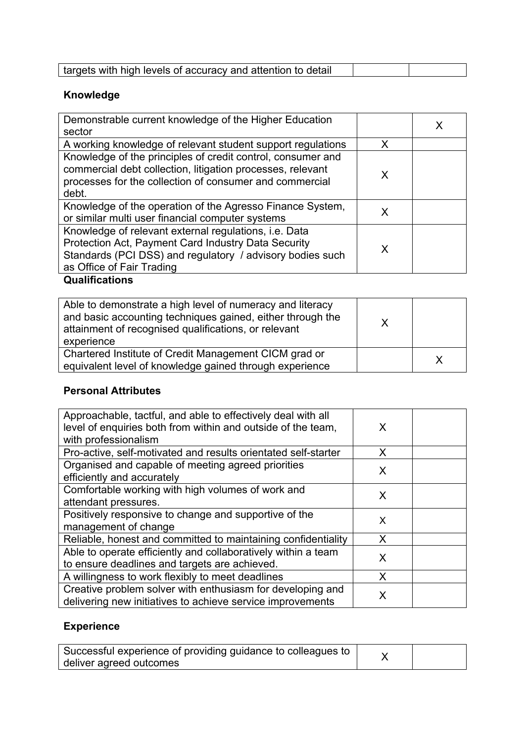| targets with high levels of accuracy and attention to detail |  |
|--------------------------------------------------------------|--|

# **Knowledge**

| Demonstrable current knowledge of the Higher Education                                                                                                                                                 |   |  |
|--------------------------------------------------------------------------------------------------------------------------------------------------------------------------------------------------------|---|--|
| sector                                                                                                                                                                                                 |   |  |
| A working knowledge of relevant student support regulations                                                                                                                                            | x |  |
| Knowledge of the principles of credit control, consumer and<br>commercial debt collection, litigation processes, relevant<br>processes for the collection of consumer and commercial<br>debt.          | x |  |
| Knowledge of the operation of the Agresso Finance System,<br>or similar multi user financial computer systems                                                                                          |   |  |
| Knowledge of relevant external regulations, i.e. Data<br>Protection Act, Payment Card Industry Data Security<br>Standards (PCI DSS) and regulatory / advisory bodies such<br>as Office of Fair Trading | x |  |

## **Qualifications**

## **Personal Attributes**

| Approachable, tactful, and able to effectively deal with all<br>level of enquiries both from within and outside of the team,<br>with professionalism | X |  |
|------------------------------------------------------------------------------------------------------------------------------------------------------|---|--|
| Pro-active, self-motivated and results orientated self-starter                                                                                       | X |  |
| Organised and capable of meeting agreed priorities<br>efficiently and accurately                                                                     | X |  |
| Comfortable working with high volumes of work and<br>attendant pressures.                                                                            | X |  |
| Positively responsive to change and supportive of the<br>management of change                                                                        | X |  |
| Reliable, honest and committed to maintaining confidentiality                                                                                        | X |  |
| Able to operate efficiently and collaboratively within a team<br>to ensure deadlines and targets are achieved.                                       | X |  |
| A willingness to work flexibly to meet deadlines                                                                                                     | X |  |
| Creative problem solver with enthusiasm for developing and<br>delivering new initiatives to achieve service improvements                             | X |  |

## **Experience**

| Successful experience of providing guidance to colleagues to |  |
|--------------------------------------------------------------|--|
| deliver agreed outcomes                                      |  |